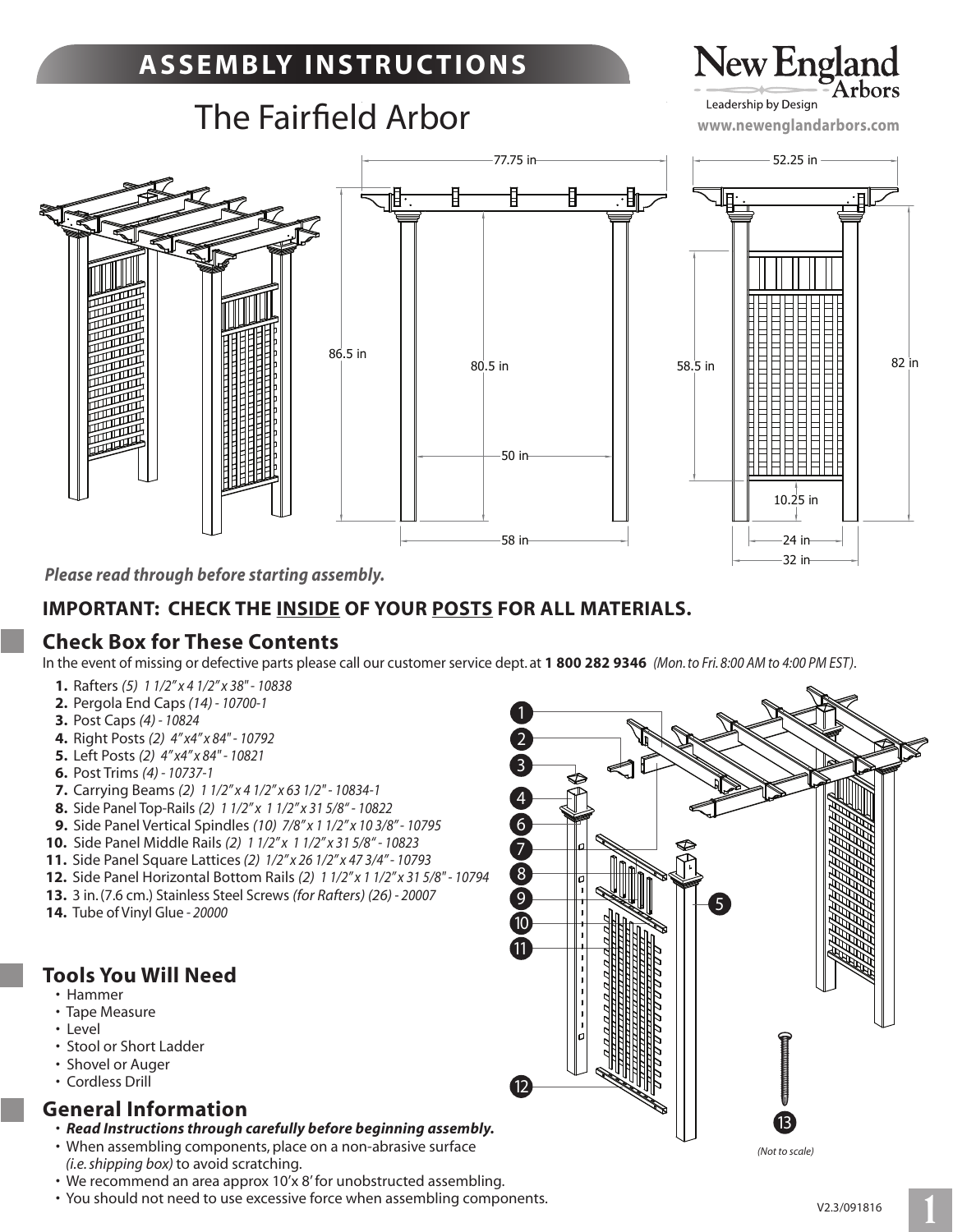# **A S S E M B LY I N S T R U C T I O N S**

# **The Fairfield Arbor**

# New England Leadership by Design

**www.newenglandarbors.com**



*Please read through before starting assembly.*

### **IMPORTANT: CHECK THE INSIDE OF YOUR POSTS FOR ALL MATERIALS.**

### **Check Box for These Contents**

In the event of missing or defective parts please call our customer service dept. at **1 800 282 9346** *(Mon. to Fri. 8:00 AM to 4:00 PM EST)*.

- **1.** Rafters *(5) 1 1/2" x 4 1/2" x 38" 10838*
- **2.** Pergola End Caps *(14) 10700-1*
- **3.** Post Caps *(4) 10824*
- **4.** Right Posts *(2) 4" x4" x 84" 10792*
- **5.** Left Posts *(2) 4" x4" x 84" 10821*
- **6.** Post Trims *(4) 10737-1*
- **7.** Carrying Beams *(2) 1 1/2" x 4 1/2" x 63 1/2" 10834-1*
- **8.** Side Panel Top-Rails *(2) 1 1/2" x 1 1/2" x 31 5/8" 10822*
- **9.** Side Panel Vertical Spindles *(10) 7/8" x 1 1/2" x 10 3/8" 10795*
- **10.** Side Panel Middle Rails *(2) 1 1/2" x 1 1/2" x 31 5/8" 10823*
- **11.** Side Panel Square Lattices *(2) 1/2" x 26 1/2" x 47 3/4" 10793*
- **12.** Side Panel Horizontal Bottom Rails *(2) 1 1/2" x 1 1/2" x 31 5/8" 10794*
- **13.** 3 in. (7.6 cm.) Stainless Steel Screws *(for Rafters) (26) 20007*
- **14.** Tube of Vinyl Glue *20000*

### **Tools You Will Need**

- Hammer
- Tape Measure
- Level
- Stool or Short Ladder
- Shovel or Auger
- Cordless Drill

### **General Information**

- *Read Instructions through carefully before beginning assembly.*
- When assembling components, place on a non-abrasive surface *(i.e. shipping box)* to avoid scratching.
- We recommend an area approx 10'x 8' for unobstructed assembling.
- You should not need to use excessive force when assembling components.



*(Not to scale)*

**1**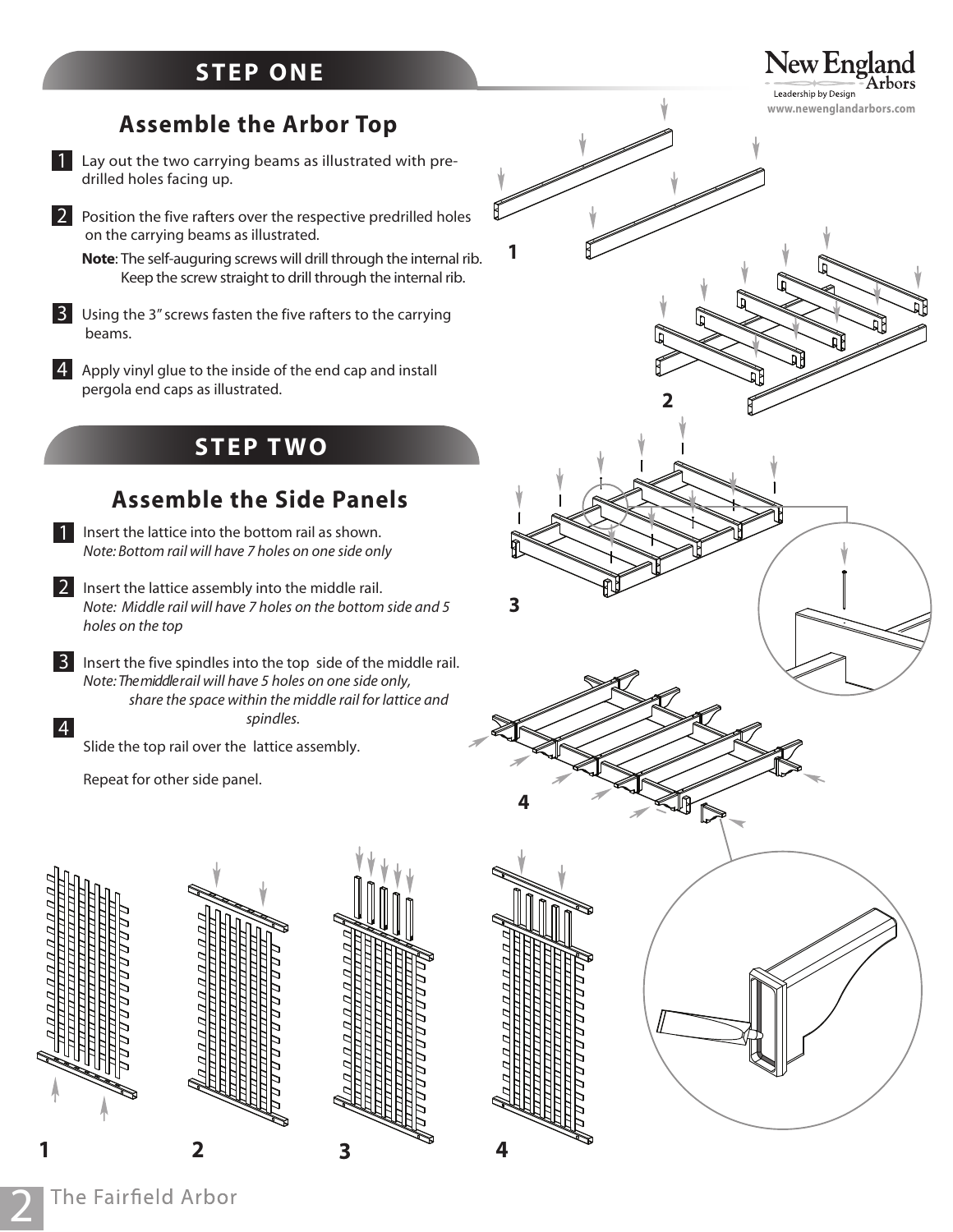### **STEP ONE**

## **Assemble the Arbor Top**

- Lay out the two carrying beams as illustrated with predrilled holes facing up. 1
- 2 Position the five rafters over the respective predrilled holes on the carrying beams as illustrated.
	- **Note**: The self-auguring screws will drill through the internal rib. Keep the screw straight to drill through the internal rib.
- 3 Using the 3" screws fasten the five rafters to the carrying beams.
- $4$  Apply vinyl glue to the inside of the end cap and install pergola end caps as illustrated.

### **STEP T W O**

### **Assemble the Side Panels**

- 1 Insert the lattice into the bottom rail as shown. *Note: Bottom rail will have 7 holes on one side only*
- 2 Insert the lattice assembly into the middle rail. *Note: Middle rail will have 7 holes on the bottom side and 5 holes on the top*
- 3 Insert the five spindles into the top side of the middle rail. 4 *Note: The middle rail will have 5 holes on one side only, share the spa*ce within the middle ra*il for lattice and spindles.*

Slide the top rail over the lattice assembly.

Repeat for other side panel.



**2**







New England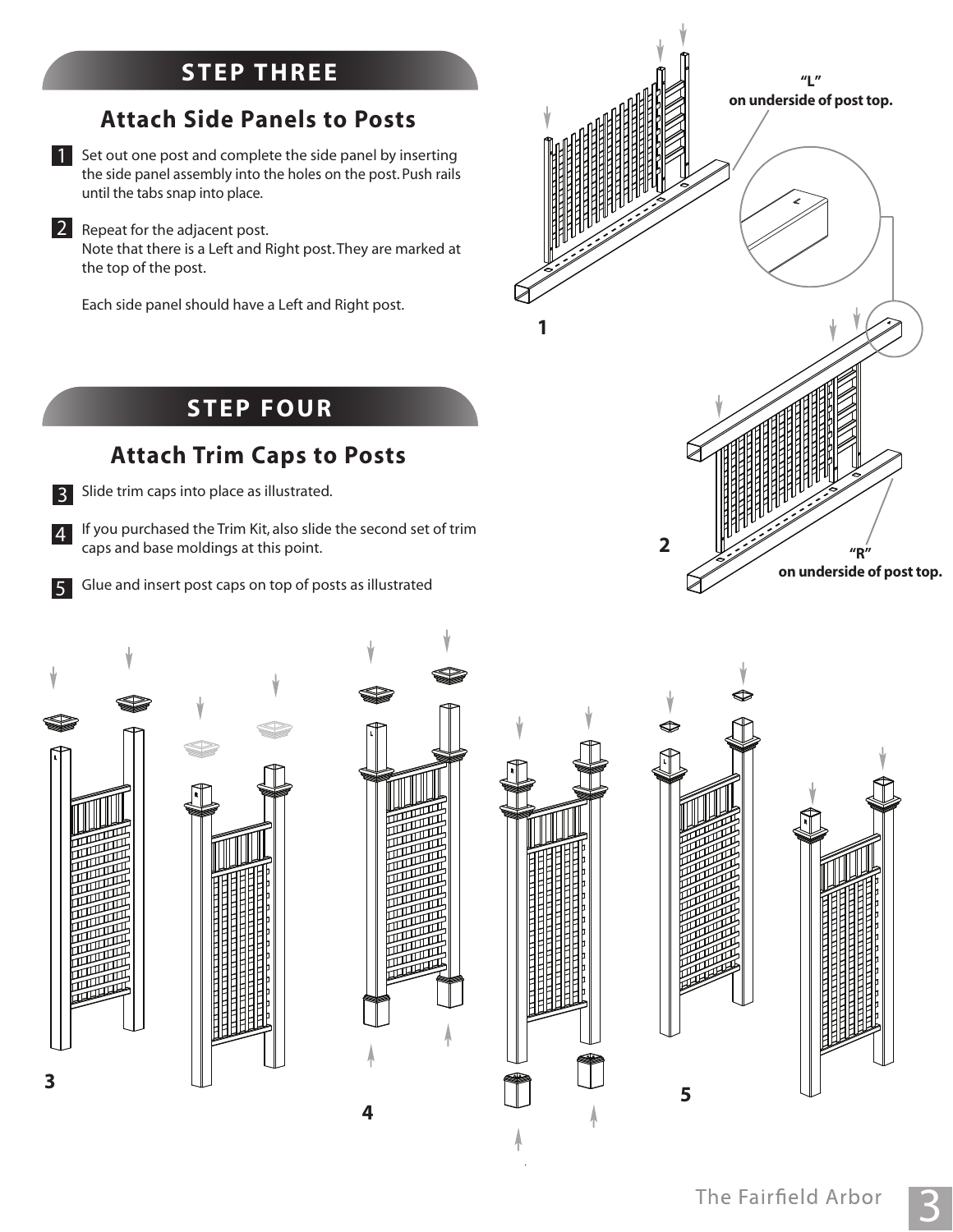## **STEP TWO STEP THR EE**

## **Attach Side Panels to Posts**

1 Set out one post and complete the side panel by inserting the side panel assembly into the holes on the post. Push rails until the tabs snap into place.

2 Repeat for the adjacent post. Note that there is a Left and Right post.They are marked at the top of the post.

Each side panel should have a Left and Right post.



## **STEP FOUR**

## **Attach Trim Caps to Posts**

3

Slide trim caps into place as illustrated.

4 If you purchased the Trim Kit, also slide the second set of trim caps and base moldings at this point.

Glue and insert post caps on top of posts as illustrated 5









**5**

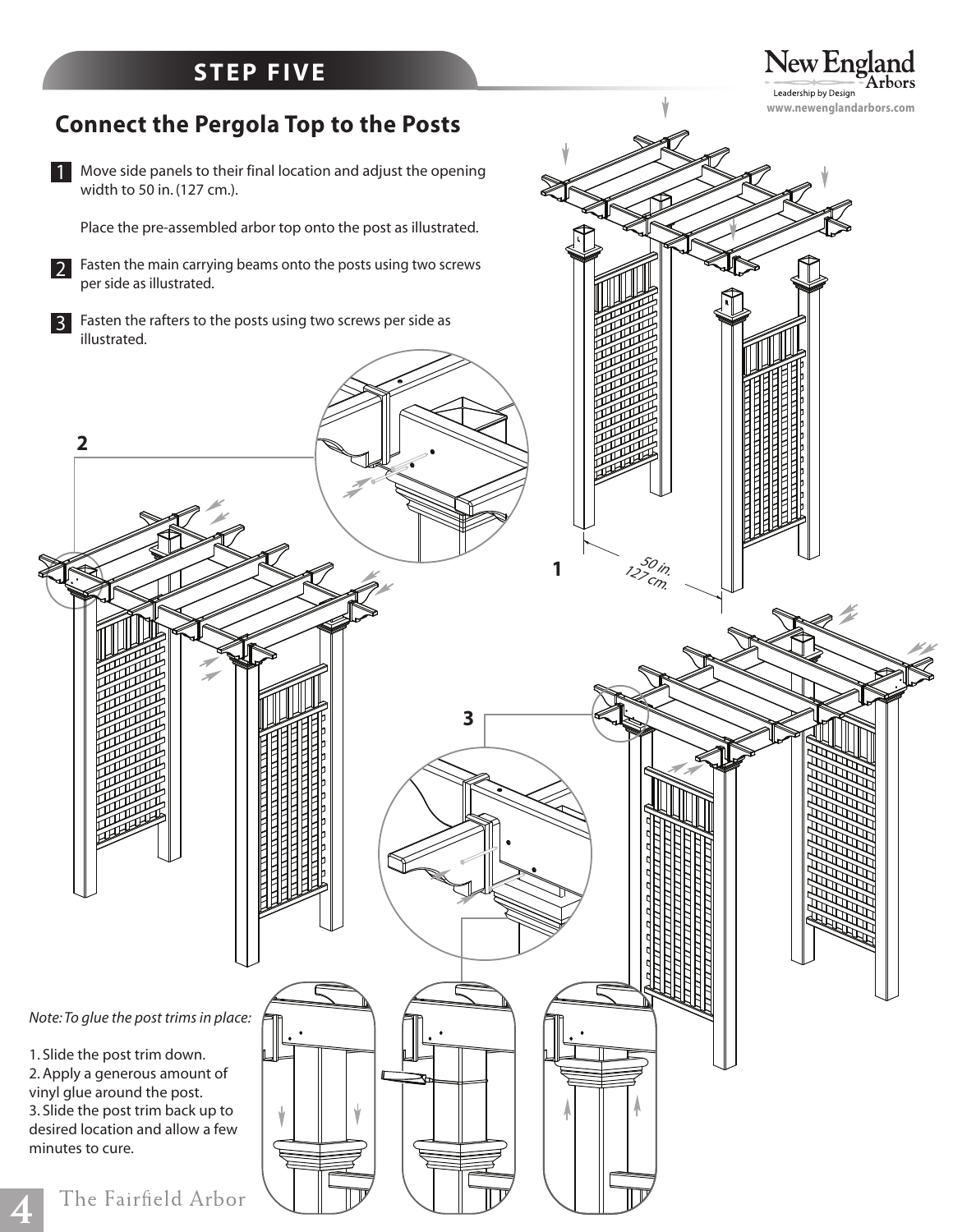## **STEP FIVE**

#### New England rbors Leadership by Design **www.newenglandarbors.com**



**4**